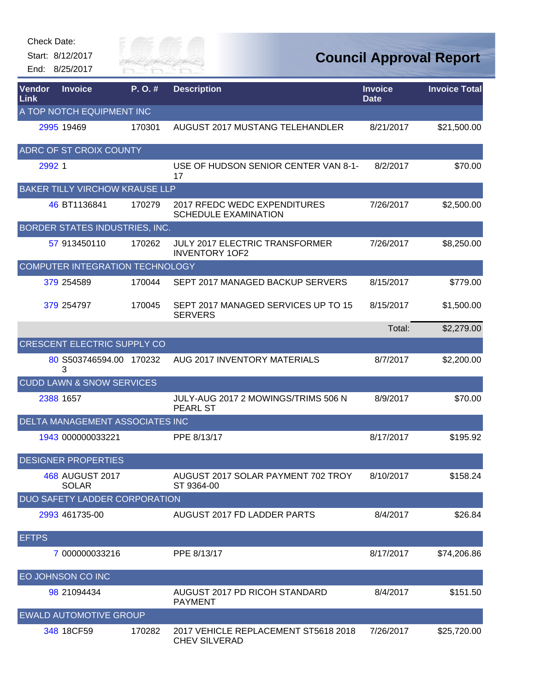| <b>Check Date:</b> | Start: 8/12/2017<br>End: 8/25/2017    | Silly of<br><b>KIVER FAI</b> |                                                                |                | <b>Council Approval Report</b> |
|--------------------|---------------------------------------|------------------------------|----------------------------------------------------------------|----------------|--------------------------------|
| Vendor             | <b>Invoice</b>                        | P.O.#                        | <b>Description</b>                                             | <b>Invoice</b> | <b>Invoice Total</b>           |
| Link               | A TOP NOTCH EQUIPMENT INC             |                              |                                                                | <b>Date</b>    |                                |
|                    | 2995 19469                            | 170301                       | AUGUST 2017 MUSTANG TELEHANDLER                                | 8/21/2017      | \$21,500.00                    |
|                    | ADRC OF ST CROIX COUNTY               |                              |                                                                |                |                                |
| 2992 1             |                                       |                              | USE OF HUDSON SENIOR CENTER VAN 8-1-<br>17                     | 8/2/2017       | \$70.00                        |
|                    | <b>BAKER TILLY VIRCHOW KRAUSE LLP</b> |                              |                                                                |                |                                |
|                    | 46 BT1136841                          | 170279                       | 2017 RFEDC WEDC EXPENDITURES<br><b>SCHEDULE EXAMINATION</b>    | 7/26/2017      | \$2,500.00                     |
|                    | BORDER STATES INDUSTRIES, INC.        |                              |                                                                |                |                                |
|                    | 57 913450110                          | 170262                       | <b>JULY 2017 ELECTRIC TRANSFORMER</b><br><b>INVENTORY 1OF2</b> | 7/26/2017      | \$8,250.00                     |
|                    | COMPUTER INTEGRATION TECHNOLOGY       |                              |                                                                |                |                                |
|                    | 379 254589                            | 170044                       | SEPT 2017 MANAGED BACKUP SERVERS                               | 8/15/2017      | \$779.00                       |
|                    | 379 254797                            | 170045                       | SEPT 2017 MANAGED SERVICES UP TO 15<br><b>SERVERS</b>          | 8/15/2017      | \$1,500.00                     |
|                    |                                       |                              |                                                                | Total:         | \$2,279.00                     |
|                    | <b>CRESCENT ELECTRIC SUPPLY CO</b>    |                              |                                                                |                |                                |
|                    | 80 S503746594.00 170232<br>3          |                              | AUG 2017 INVENTORY MATERIALS                                   | 8/7/2017       | \$2,200.00                     |
|                    | <b>CUDD LAWN &amp; SNOW SERVICES</b>  |                              |                                                                |                |                                |
|                    | 2388 1657                             |                              | JULY-AUG 2017 2 MOWINGS/TRIMS 506 N<br><b>PEARL ST</b>         | 8/9/2017       | \$70.00                        |
|                    | DELTA MANAGEMENT ASSOCIATES INC       |                              |                                                                |                |                                |
|                    | 1943 000000033221                     |                              | PPE 8/13/17                                                    | 8/17/2017      | \$195.92                       |
|                    | <b>DESIGNER PROPERTIES</b>            |                              |                                                                |                |                                |
|                    | 468 AUGUST 2017<br><b>SOLAR</b>       |                              | AUGUST 2017 SOLAR PAYMENT 702 TROY<br>ST 9364-00               | 8/10/2017      | \$158.24                       |
|                    | <b>DUO SAFETY LADDER CORPORATION</b>  |                              |                                                                |                |                                |
|                    | 2993 461735-00                        |                              | AUGUST 2017 FD LADDER PARTS                                    | 8/4/2017       | \$26.84                        |
| <b>EFTPS</b>       |                                       |                              |                                                                |                |                                |
|                    | 7 000000033216                        |                              | PPE 8/13/17                                                    | 8/17/2017      | \$74,206.86                    |
|                    | EO JOHNSON CO INC                     |                              |                                                                |                |                                |
|                    | 98 21094434                           |                              | AUGUST 2017 PD RICOH STANDARD<br><b>PAYMENT</b>                | 8/4/2017       | \$151.50                       |
|                    | <b>EWALD AUTOMOTIVE GROUP</b>         |                              |                                                                |                |                                |
|                    | 348 18CF59                            | 170282                       | 2017 VEHICLE REPLACEMENT ST5618 2018<br><b>CHEV SILVERAD</b>   | 7/26/2017      | \$25,720.00                    |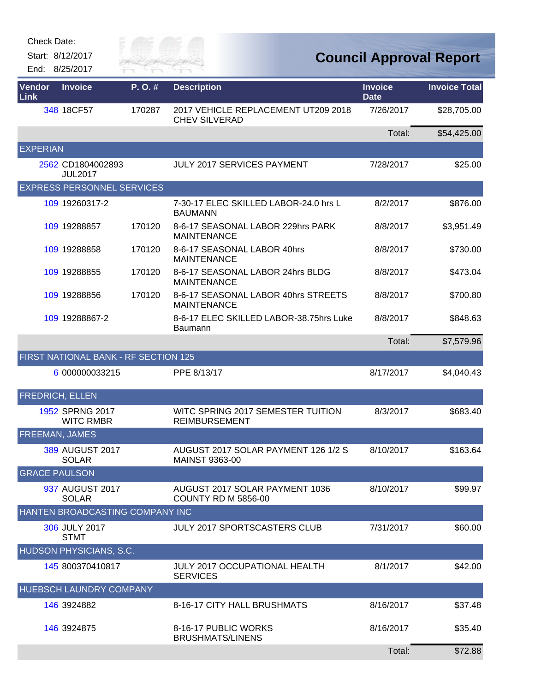| Check Date: |  |
|-------------|--|
|-------------|--|

Start: 8/12/2017 End: 8/25/2017



## **Council Approval Report**

| Vendor<br>Link         | <b>Invoice</b>                       | P.O.#  | <b>Description</b>                                           | <b>Invoice</b><br><b>Date</b> | <b>Invoice Total</b> |
|------------------------|--------------------------------------|--------|--------------------------------------------------------------|-------------------------------|----------------------|
|                        | 348 18CF57                           | 170287 | 2017 VEHICLE REPLACEMENT UT209 2018<br><b>CHEV SILVERAD</b>  | 7/26/2017                     | \$28,705.00          |
|                        |                                      |        |                                                              | Total:                        | \$54,425.00          |
| <b>EXPERIAN</b>        |                                      |        |                                                              |                               |                      |
|                        | 2562 CD1804002893<br><b>JUL2017</b>  |        | <b>JULY 2017 SERVICES PAYMENT</b>                            | 7/28/2017                     | \$25.00              |
|                        | <b>EXPRESS PERSONNEL SERVICES</b>    |        |                                                              |                               |                      |
|                        | 109 19260317-2                       |        | 7-30-17 ELEC SKILLED LABOR-24.0 hrs L<br><b>BAUMANN</b>      | 8/2/2017                      | \$876.00             |
|                        | 109 19288857                         | 170120 | 8-6-17 SEASONAL LABOR 229hrs PARK<br><b>MAINTENANCE</b>      | 8/8/2017                      | \$3,951.49           |
|                        | 109 19288858                         | 170120 | 8-6-17 SEASONAL LABOR 40hrs<br><b>MAINTENANCE</b>            | 8/8/2017                      | \$730.00             |
|                        | 109 19288855                         | 170120 | 8-6-17 SEASONAL LABOR 24hrs BLDG<br><b>MAINTENANCE</b>       | 8/8/2017                      | \$473.04             |
|                        | 109 19288856                         | 170120 | 8-6-17 SEASONAL LABOR 40hrs STREETS<br><b>MAINTENANCE</b>    | 8/8/2017                      | \$700.80             |
|                        | 109 19288867-2                       |        | 8-6-17 ELEC SKILLED LABOR-38.75hrs Luke<br><b>Baumann</b>    | 8/8/2017                      | \$848.63             |
|                        |                                      |        |                                                              | Total:                        | \$7,579.96           |
|                        | FIRST NATIONAL BANK - RF SECTION 125 |        |                                                              |                               |                      |
|                        | 6 000000033215                       |        | PPE 8/13/17                                                  | 8/17/2017                     | \$4,040.43           |
| <b>FREDRICH, ELLEN</b> |                                      |        |                                                              |                               |                      |
|                        | 1952 SPRNG 2017<br><b>WITC RMBR</b>  |        | WITC SPRING 2017 SEMESTER TUITION<br><b>REIMBURSEMENT</b>    | 8/3/2017                      | \$683.40             |
| FREEMAN, JAMES         |                                      |        |                                                              |                               |                      |
|                        | 389 AUGUST 2017<br><b>SOLAR</b>      |        | AUGUST 2017 SOLAR PAYMENT 126 1/2 S<br><b>MAINST 9363-00</b> | 8/10/2017                     | \$163.64             |
| <b>GRACE PAULSON</b>   |                                      |        |                                                              |                               |                      |
|                        | 937 AUGUST 2017<br><b>SOLAR</b>      |        | AUGUST 2017 SOLAR PAYMENT 1036<br><b>COUNTY RD M 5856-00</b> | 8/10/2017                     | \$99.97              |
|                        | HANTEN BROADCASTING COMPANY INC      |        |                                                              |                               |                      |
|                        | 306 JULY 2017<br><b>STMT</b>         |        | <b>JULY 2017 SPORTSCASTERS CLUB</b>                          | 7/31/2017                     | \$60.00              |
|                        | HUDSON PHYSICIANS, S.C.              |        |                                                              |                               |                      |
|                        | 145 800370410817                     |        | <b>JULY 2017 OCCUPATIONAL HEALTH</b><br><b>SERVICES</b>      | 8/1/2017                      | \$42.00              |
|                        | HUEBSCH LAUNDRY COMPANY              |        |                                                              |                               |                      |
|                        | 146 3924882                          |        | 8-16-17 CITY HALL BRUSHMATS                                  | 8/16/2017                     | \$37.48              |
|                        | 146 3924875                          |        | 8-16-17 PUBLIC WORKS<br><b>BRUSHMATS/LINENS</b>              | 8/16/2017                     | \$35.40              |
|                        |                                      |        |                                                              | Total:                        | \$72.88              |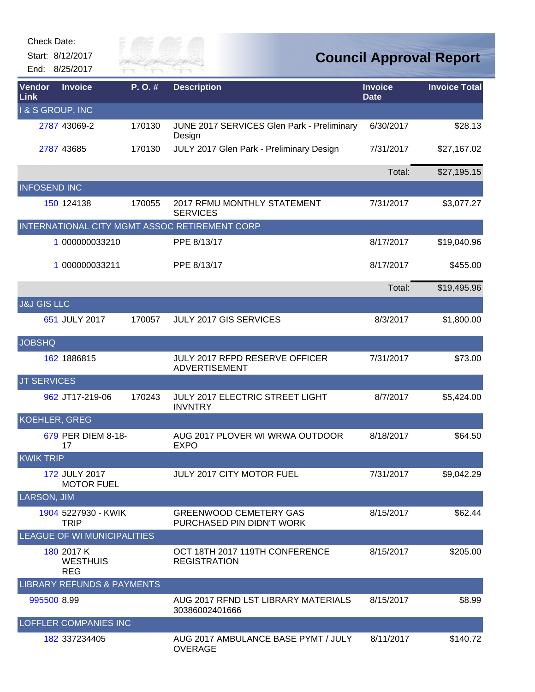| Check Date:                 |                                       |           |                                                               |                               |                                |
|-----------------------------|---------------------------------------|-----------|---------------------------------------------------------------|-------------------------------|--------------------------------|
|                             | Start: 8/12/2017<br>End: 8/25/2017    | YIVER FAI |                                                               |                               | <b>Council Approval Report</b> |
| Vendor<br>Link              | <b>Invoice</b>                        | P.O.#     | <b>Description</b>                                            | <b>Invoice</b><br><b>Date</b> | <b>Invoice Total</b>           |
| <b>1 &amp; S GROUP, INC</b> |                                       |           |                                                               |                               |                                |
|                             | 2787 43069-2                          | 170130    | JUNE 2017 SERVICES Glen Park - Preliminary<br>Design          | 6/30/2017                     | \$28.13                        |
|                             | 2787 43685                            | 170130    | JULY 2017 Glen Park - Preliminary Design                      | 7/31/2017                     | \$27,167.02                    |
|                             |                                       |           |                                                               | Total:                        | \$27,195.15                    |
| <b>INFOSEND INC</b>         |                                       |           |                                                               |                               |                                |
|                             | 150 124138                            | 170055    | <b>2017 RFMU MONTHLY STATEMENT</b><br><b>SERVICES</b>         | 7/31/2017                     | \$3,077.27                     |
|                             |                                       |           | INTERNATIONAL CITY MGMT ASSOC RETIREMENT CORP                 |                               |                                |
|                             | 1 000000033210                        |           | PPE 8/13/17                                                   | 8/17/2017                     | \$19,040.96                    |
|                             | 1 000000033211                        |           | PPE 8/13/17                                                   | 8/17/2017                     | \$455.00                       |
|                             |                                       |           |                                                               | Total:                        | \$19,495.96                    |
| <b>J&amp;J GIS LLC</b>      |                                       |           |                                                               |                               |                                |
|                             | 651 JULY 2017                         | 170057    | <b>JULY 2017 GIS SERVICES</b>                                 | 8/3/2017                      | \$1,800.00                     |
| <b>JOBSHQ</b>               |                                       |           |                                                               |                               |                                |
|                             | 162 1886815                           |           | <b>JULY 2017 RFPD RESERVE OFFICER</b><br><b>ADVERTISEMENT</b> | 7/31/2017                     | \$73.00                        |
| <b>JT SERVICES</b>          |                                       |           |                                                               |                               |                                |
|                             | 962 JT17-219-06                       | 170243    | JULY 2017 ELECTRIC STREET LIGHT<br><b>INVNTRY</b>             | 8/7/2017                      | \$5,424.00                     |
| <b>KOEHLER, GREG</b>        |                                       |           |                                                               |                               |                                |
|                             |                                       |           |                                                               |                               |                                |
|                             | 679 PER DIEM 8-18-<br>17              |           | AUG 2017 PLOVER WI WRWA OUTDOOR<br><b>EXPO</b>                | 8/18/2017                     | \$64.50                        |
| <b>KWIK TRIP</b>            |                                       |           |                                                               |                               |                                |
|                             | 172 JULY 2017<br><b>MOTOR FUEL</b>    |           | <b>JULY 2017 CITY MOTOR FUEL</b>                              | 7/31/2017                     | \$9,042.29                     |
| <b>LARSON, JIM</b>          |                                       |           |                                                               |                               |                                |
|                             | 1904 5227930 - KWIK<br><b>TRIP</b>    |           | <b>GREENWOOD CEMETERY GAS</b><br>PURCHASED PIN DIDN'T WORK    | 8/15/2017                     | \$62.44                        |
|                             | <b>LEAGUE OF WI MUNICIPALITIES</b>    |           |                                                               |                               |                                |
|                             | 180 2017 K                            |           | OCT 18TH 2017 119TH CONFERENCE                                | 8/15/2017                     | \$205.00                       |
|                             | <b>WESTHUIS</b><br><b>REG</b>         |           | <b>REGISTRATION</b>                                           |                               |                                |
|                             | <b>LIBRARY REFUNDS &amp; PAYMENTS</b> |           |                                                               |                               |                                |
| 995500 8.99                 |                                       |           | AUG 2017 RFND LST LIBRARY MATERIALS<br>30386002401666         | 8/15/2017                     | \$8.99                         |
|                             | <b>LOFFLER COMPANIES INC</b>          |           |                                                               |                               |                                |
|                             | 182 337234405                         |           | AUG 2017 AMBULANCE BASE PYMT / JULY<br><b>OVERAGE</b>         | 8/11/2017                     | \$140.72                       |
|                             |                                       |           |                                                               |                               |                                |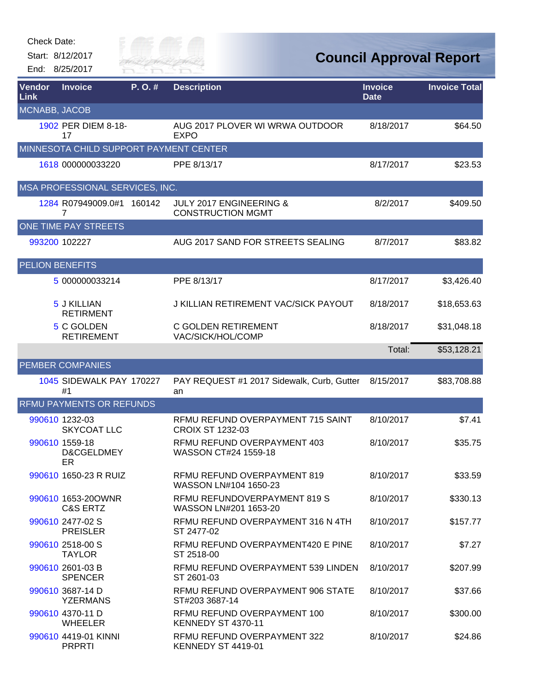Start: 8/12/2017 End: 8/25/2017



## **Council Approval Report**

| Vendor<br>Link         | <b>Invoice</b>                            | P.O.# | <b>Description</b>                                             | <b>Invoice</b><br><b>Date</b> | <b>Invoice Total</b> |
|------------------------|-------------------------------------------|-------|----------------------------------------------------------------|-------------------------------|----------------------|
| MCNABB, JACOB          |                                           |       |                                                                |                               |                      |
|                        | 1902 PER DIEM 8-18-<br>17                 |       | AUG 2017 PLOVER WI WRWA OUTDOOR<br><b>EXPO</b>                 | 8/18/2017                     | \$64.50              |
|                        | MINNESOTA CHILD SUPPORT PAYMENT CENTER    |       |                                                                |                               |                      |
|                        | 1618 000000033220                         |       | PPE 8/13/17                                                    | 8/17/2017                     | \$23.53              |
|                        | MSA PROFESSIONAL SERVICES, INC.           |       |                                                                |                               |                      |
|                        | 1284 R07949009.0#1 160142<br>7            |       | <b>JULY 2017 ENGINEERING &amp;</b><br><b>CONSTRUCTION MGMT</b> | 8/2/2017                      | \$409.50             |
|                        | ONE TIME PAY STREETS                      |       |                                                                |                               |                      |
|                        | 993200 102227                             |       | AUG 2017 SAND FOR STREETS SEALING                              | 8/7/2017                      | \$83.82              |
| <b>PELION BENEFITS</b> |                                           |       |                                                                |                               |                      |
|                        | 5 000000033214                            |       | PPE 8/13/17                                                    | 8/17/2017                     | \$3,426.40           |
|                        | 5 J KILLIAN<br><b>RETIRMENT</b>           |       | J KILLIAN RETIREMENT VAC/SICK PAYOUT                           | 8/18/2017                     | \$18,653.63          |
|                        | 5 C GOLDEN<br><b>RETIREMENT</b>           |       | C GOLDEN RETIREMENT<br>VAC/SICK/HOL/COMP                       | 8/18/2017                     | \$31,048.18          |
|                        |                                           |       |                                                                | Total:                        | \$53,128.21          |
|                        | <b>PEMBER COMPANIES</b>                   |       |                                                                |                               |                      |
|                        | 1045 SIDEWALK PAY 170227<br>#1            |       | PAY REQUEST #1 2017 Sidewalk, Curb, Gutter<br>an               | 8/15/2017                     | \$83,708.88          |
|                        | <b>RFMU PAYMENTS OR REFUNDS</b>           |       |                                                                |                               |                      |
|                        | 990610 1232-03<br><b>SKYCOAT LLC</b>      |       | RFMU REFUND OVERPAYMENT 715 SAINT<br><b>CROIX ST 1232-03</b>   | 8/10/2017                     | \$7.41               |
|                        | 990610 1559-18<br>D&CGELDMEY<br>ER        |       | RFMU REFUND OVERPAYMENT 403<br>WASSON CT#24 1559-18            | 8/10/2017                     | \$35.75              |
|                        | 990610 1650-23 R RUIZ                     |       | RFMU REFUND OVERPAYMENT 819<br>WASSON LN#104 1650-23           | 8/10/2017                     | \$33.59              |
|                        | 990610 1653-20OWNR<br><b>C&amp;S ERTZ</b> |       | RFMU REFUNDOVERPAYMENT 819 S<br>WASSON LN#201 1653-20          | 8/10/2017                     | \$330.13             |
|                        | 990610 2477-02 S<br><b>PREISLER</b>       |       | RFMU REFUND OVERPAYMENT 316 N 4TH<br>ST 2477-02                | 8/10/2017                     | \$157.77             |
|                        | 990610 2518-00 S<br><b>TAYLOR</b>         |       | RFMU REFUND OVERPAYMENT420 E PINE<br>ST 2518-00                | 8/10/2017                     | \$7.27               |
|                        | 990610 2601-03 B<br><b>SPENCER</b>        |       | RFMU REFUND OVERPAYMENT 539 LINDEN<br>ST 2601-03               | 8/10/2017                     | \$207.99             |
|                        | 990610 3687-14 D<br><b>YZERMANS</b>       |       | RFMU REFUND OVERPAYMENT 906 STATE<br>ST#203 3687-14            | 8/10/2017                     | \$37.66              |
|                        | 990610 4370-11 D<br><b>WHEELER</b>        |       | RFMU REFUND OVERPAYMENT 100<br>KENNEDY ST 4370-11              | 8/10/2017                     | \$300.00             |
|                        | 990610 4419-01 KINNI<br><b>PRPRTI</b>     |       | RFMU REFUND OVERPAYMENT 322<br>KENNEDY ST 4419-01              | 8/10/2017                     | \$24.86              |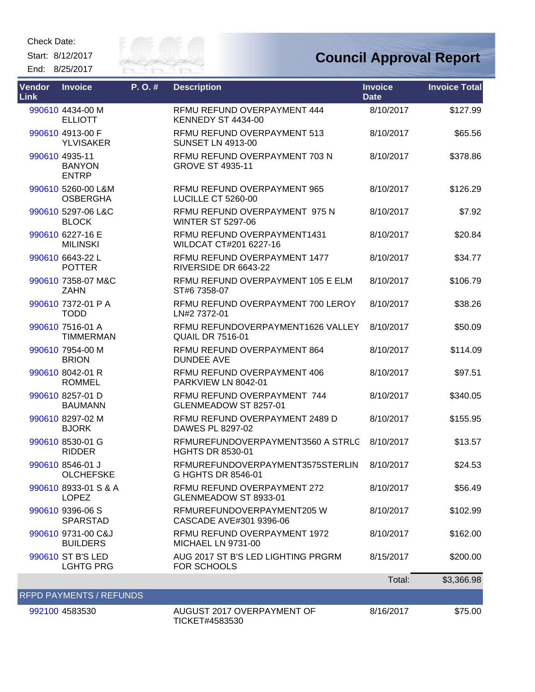Check Date:

Start: 8/12/2017 End: 8/25/2017



## **Council Approval Report**

| Vendor<br><b>Link</b> | <b>Invoice</b>                                  | P.O.# | <b>Description</b>                                           | <b>Invoice</b><br><b>Date</b> | <b>Invoice Total</b> |
|-----------------------|-------------------------------------------------|-------|--------------------------------------------------------------|-------------------------------|----------------------|
|                       | 990610 4434-00 M<br><b>ELLIOTT</b>              |       | RFMU REFUND OVERPAYMENT 444<br><b>KENNEDY ST 4434-00</b>     | 8/10/2017                     | \$127.99             |
|                       | 990610 4913-00 F<br><b>YLVISAKER</b>            |       | RFMU REFUND OVERPAYMENT 513<br><b>SUNSET LN 4913-00</b>      | 8/10/2017                     | \$65.56              |
|                       | 990610 4935-11<br><b>BANYON</b><br><b>ENTRP</b> |       | RFMU REFUND OVERPAYMENT 703 N<br><b>GROVE ST 4935-11</b>     | 8/10/2017                     | \$378.86             |
|                       | 990610 5260-00 L&M<br><b>OSBERGHA</b>           |       | RFMU REFUND OVERPAYMENT 965<br>LUCILLE CT 5260-00            | 8/10/2017                     | \$126.29             |
|                       | 990610 5297-06 L&C<br><b>BLOCK</b>              |       | RFMU REFUND OVERPAYMENT 975 N<br><b>WINTER ST 5297-06</b>    | 8/10/2017                     | \$7.92               |
|                       | 990610 6227-16 E<br><b>MILINSKI</b>             |       | RFMU REFUND OVERPAYMENT1431<br>WILDCAT CT#201 6227-16        | 8/10/2017                     | \$20.84              |
|                       | 990610 6643-22 L<br><b>POTTER</b>               |       | RFMU REFUND OVERPAYMENT 1477<br>RIVERSIDE DR 6643-22         | 8/10/2017                     | \$34.77              |
|                       | 990610 7358-07 M&C<br><b>ZAHN</b>               |       | RFMU REFUND OVERPAYMENT 105 E ELM<br>ST#6 7358-07            | 8/10/2017                     | \$106.79             |
|                       | 990610 7372-01 P A<br><b>TODD</b>               |       | RFMU REFUND OVERPAYMENT 700 LEROY<br>LN#2 7372-01            | 8/10/2017                     | \$38.26              |
|                       | 990610 7516-01 A<br><b>TIMMERMAN</b>            |       | RFMU REFUNDOVERPAYMENT1626 VALLEY<br><b>QUAIL DR 7516-01</b> | 8/10/2017                     | \$50.09              |
|                       | 990610 7954-00 M<br><b>BRION</b>                |       | RFMU REFUND OVERPAYMENT 864<br><b>DUNDEE AVE</b>             | 8/10/2017                     | \$114.09             |
|                       | 990610 8042-01 R<br><b>ROMMEL</b>               |       | RFMU REFUND OVERPAYMENT 406<br>PARKVIEW LN 8042-01           | 8/10/2017                     | \$97.51              |
|                       | 990610 8257-01 D<br><b>BAUMANN</b>              |       | RFMU REFUND OVERPAYMENT 744<br>GLENMEADOW ST 8257-01         | 8/10/2017                     | \$340.05             |
|                       | 990610 8297-02 M<br><b>BJORK</b>                |       | RFMU REFUND OVERPAYMENT 2489 D<br>DAWES PL 8297-02           | 8/10/2017                     | \$155.95             |
|                       | 990610 8530-01 G<br><b>RIDDER</b>               |       | RFMUREFUNDOVERPAYMENT3560 A STRLC<br><b>HGHTS DR 8530-01</b> | 8/10/2017                     | \$13.57              |
|                       | 990610 8546-01 J<br>OLCHEFSKE                   |       | RFMUREFUNDOVERPAYMENT3575STERLIN<br>G HGHTS DR 8546-01       | 8/10/2017                     | \$24.53              |
|                       | 990610 8933-01 S & A<br><b>LOPEZ</b>            |       | RFMU REFUND OVERPAYMENT 272<br>GLENMEADOW ST 8933-01         | 8/10/2017                     | \$56.49              |
|                       | 990610 9396-06 S<br><b>SPARSTAD</b>             |       | RFMUREFUNDOVERPAYMENT205 W<br>CASCADE AVE#301 9396-06        | 8/10/2017                     | \$102.99             |
|                       | 990610 9731-00 C&J<br><b>BUILDERS</b>           |       | RFMU REFUND OVERPAYMENT 1972<br><b>MICHAEL LN 9731-00</b>    | 8/10/2017                     | \$162.00             |
|                       | 990610 ST B'S LED<br><b>LGHTG PRG</b>           |       | AUG 2017 ST B'S LED LIGHTING PRGRM<br><b>FOR SCHOOLS</b>     | 8/15/2017                     | \$200.00             |
|                       |                                                 |       |                                                              | Total:                        | \$3,366.98           |
|                       | <b>RFPD PAYMENTS / REFUNDS</b>                  |       |                                                              |                               |                      |
|                       | 992100 4583530                                  |       | AUGUST 2017 OVERPAYMENT OF<br>TICKET#4583530                 | 8/16/2017                     | \$75.00              |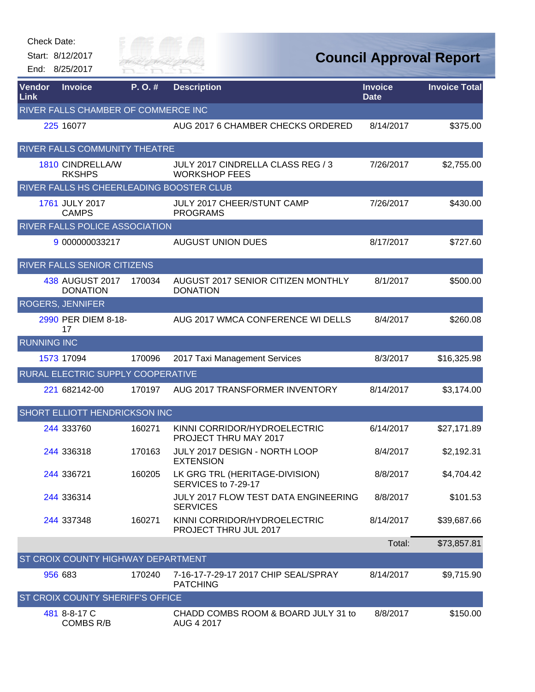| Check Date:        |                                          |                      |                                                           |                                |                      |
|--------------------|------------------------------------------|----------------------|-----------------------------------------------------------|--------------------------------|----------------------|
|                    | Start: 8/12/2017                         | City of<br>RIVER FAI |                                                           | <b>Council Approval Report</b> |                      |
|                    | End: 8/25/2017                           |                      |                                                           |                                |                      |
| Vendor<br>Link     | <b>Invoice</b>                           | P. O. #              | <b>Description</b>                                        | <b>Invoice</b><br><b>Date</b>  | <b>Invoice Total</b> |
|                    | RIVER FALLS CHAMBER OF COMMERCE INC      |                      |                                                           |                                |                      |
|                    | 225 16077                                |                      | AUG 2017 6 CHAMBER CHECKS ORDERED                         | 8/14/2017                      | \$375.00             |
|                    | RIVER FALLS COMMUNITY THEATRE            |                      |                                                           |                                |                      |
|                    | <b>1810 CINDRELLA/W</b><br><b>RKSHPS</b> |                      | JULY 2017 CINDRELLA CLASS REG / 3<br><b>WORKSHOP FEES</b> | 7/26/2017                      | \$2,755.00           |
|                    | RIVER FALLS HS CHEERLEADING BOOSTER CLUB |                      |                                                           |                                |                      |
|                    | 1761 JULY 2017<br><b>CAMPS</b>           |                      | <b>JULY 2017 CHEER/STUNT CAMP</b><br><b>PROGRAMS</b>      | 7/26/2017                      | \$430.00             |
|                    | RIVER FALLS POLICE ASSOCIATION           |                      |                                                           |                                |                      |
|                    | 9 000000033217                           |                      | <b>AUGUST UNION DUES</b>                                  | 8/17/2017                      | \$727.60             |
|                    | RIVER FALLS SENIOR CITIZENS              |                      |                                                           |                                |                      |
|                    | 438 AUGUST 2017<br><b>DONATION</b>       | 170034               | AUGUST 2017 SENIOR CITIZEN MONTHLY<br><b>DONATION</b>     | 8/1/2017                       | \$500.00             |
|                    | <b>ROGERS, JENNIFER</b>                  |                      |                                                           |                                |                      |
|                    | 2990 PER DIEM 8-18-<br>17                |                      | AUG 2017 WMCA CONFERENCE WI DELLS                         | 8/4/2017                       | \$260.08             |
| <b>RUNNING INC</b> |                                          |                      |                                                           |                                |                      |
|                    | 1573 17094                               | 170096               | 2017 Taxi Management Services                             | 8/3/2017                       | \$16,325.98          |
|                    | RURAL ELECTRIC SUPPLY COOPERATIVE        |                      |                                                           |                                |                      |
|                    | 221 682142-00                            | 170197               | AUG 2017 TRANSFORMER INVENTORY                            | 8/14/2017                      | \$3,174.00           |
|                    | <b>SHORT ELLIOTT HENDRICKSON INC</b>     |                      |                                                           |                                |                      |
|                    | 244 333760                               | 160271               | KINNI CORRIDOR/HYDROELECTRIC<br>PROJECT THRU MAY 2017     | 6/14/2017                      | \$27,171.89          |
|                    | 244 336318                               | 170163               | JULY 2017 DESIGN - NORTH LOOP<br><b>EXTENSION</b>         | 8/4/2017                       | \$2,192.31           |
|                    | 244 336721                               | 160205               | LK GRG TRL (HERITAGE-DIVISION)<br>SERVICES to 7-29-17     | 8/8/2017                       | \$4,704.42           |
|                    | 244 336314                               |                      | JULY 2017 FLOW TEST DATA ENGINEERING<br><b>SERVICES</b>   | 8/8/2017                       | \$101.53             |
|                    | 244 337348                               | 160271               | KINNI CORRIDOR/HYDROELECTRIC<br>PROJECT THRU JUL 2017     | 8/14/2017                      | \$39,687.66          |
|                    |                                          |                      |                                                           | Total:                         | \$73,857.81          |
|                    | ST CROIX COUNTY HIGHWAY DEPARTMENT       |                      |                                                           |                                |                      |
|                    | 956 683                                  | 170240               | 7-16-17-7-29-17 2017 CHIP SEAL/SPRAY<br><b>PATCHING</b>   | 8/14/2017                      | \$9,715.90           |
|                    | <b>ST CROIX COUNTY SHERIFF'S OFFICE</b>  |                      |                                                           |                                |                      |
|                    | 481 8-8-17 C<br><b>COMBS R/B</b>         |                      | CHADD COMBS ROOM & BOARD JULY 31 to<br>AUG 4 2017         | 8/8/2017                       | \$150.00             |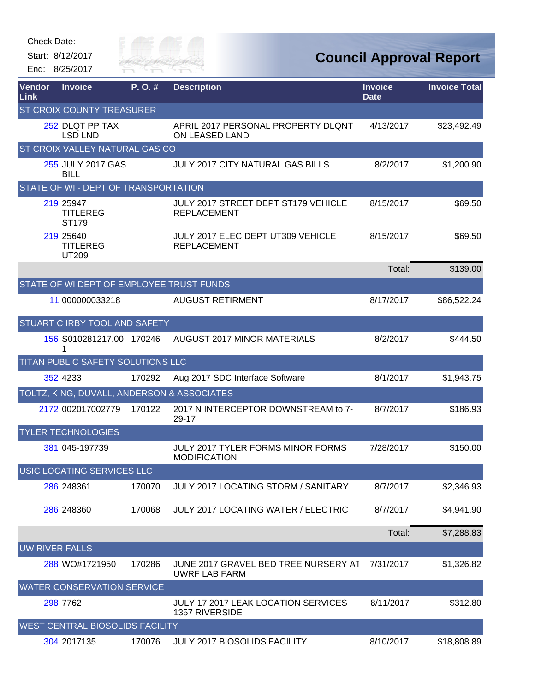|        | <b>Check Date:</b><br>Start: 8/12/2017     | City of            |                                                              |                | <b>Council Approval Report</b> |
|--------|--------------------------------------------|--------------------|--------------------------------------------------------------|----------------|--------------------------------|
| Vendor | End: 8/25/2017<br><b>Invoice</b>           | River Fai<br>P.O.# | <b>Description</b>                                           | <b>Invoice</b> | <b>Invoice Total</b>           |
| Link   | ST CROIX COUNTY TREASURER                  |                    |                                                              | <b>Date</b>    |                                |
|        | 252 DLQT PP TAX<br><b>LSD LND</b>          |                    | APRIL 2017 PERSONAL PROPERTY DLQNT<br>ON LEASED LAND         | 4/13/2017      | \$23,492.49                    |
|        | ST CROIX VALLEY NATURAL GAS CO             |                    |                                                              |                |                                |
|        | 255 JULY 2017 GAS<br><b>BILL</b>           |                    | JULY 2017 CITY NATURAL GAS BILLS                             | 8/2/2017       | \$1,200.90                     |
|        | STATE OF WI - DEPT OF TRANSPORTATION       |                    |                                                              |                |                                |
|        | 219 25947<br><b>TITLEREG</b><br>ST179      |                    | JULY 2017 STREET DEPT ST179 VEHICLE<br><b>REPLACEMENT</b>    | 8/15/2017      | \$69.50                        |
|        | 219 25 640<br><b>TITLEREG</b><br>UT209     |                    | JULY 2017 ELEC DEPT UT309 VEHICLE<br><b>REPLACEMENT</b>      | 8/15/2017      | \$69.50                        |
|        |                                            |                    |                                                              | Total:         | \$139.00                       |
|        | STATE OF WI DEPT OF EMPLOYEE TRUST FUNDS   |                    |                                                              |                |                                |
|        | 11 000000033218                            |                    | <b>AUGUST RETIRMENT</b>                                      | 8/17/2017      | \$86,522.24                    |
|        | STUART C IRBY TOOL AND SAFETY              |                    |                                                              |                |                                |
|        | 156 S010281217.00 170246<br>1              |                    | <b>AUGUST 2017 MINOR MATERIALS</b>                           | 8/2/2017       | \$444.50                       |
|        | TITAN PUBLIC SAFETY SOLUTIONS LLC          |                    |                                                              |                |                                |
|        | 352 4233                                   | 170292             | Aug 2017 SDC Interface Software                              | 8/1/2017       | \$1,943.75                     |
|        | TOLTZ, KING, DUVALL, ANDERSON & ASSOCIATES |                    |                                                              |                |                                |
|        | 2172 002017002779                          | 170122             | 2017 N INTERCEPTOR DOWNSTREAM to 7-<br>29-17                 | 8/7/2017       | \$186.93                       |
|        | <b>TYLER TECHNOLOGIES</b>                  |                    |                                                              |                |                                |
|        | 381 045-197739                             |                    | JULY 2017 TYLER FORMS MINOR FORMS<br><b>MODIFICATION</b>     | 7/28/2017      | \$150.00                       |
|        | <b>USIC LOCATING SERVICES LLC</b>          |                    |                                                              |                |                                |
|        | 286 248361                                 | 170070             | JULY 2017 LOCATING STORM / SANITARY                          | 8/7/2017       | \$2,346.93                     |
|        | 286 248360                                 | 170068             | <b>JULY 2017 LOCATING WATER / ELECTRIC</b>                   | 8/7/2017       | \$4,941.90                     |
|        |                                            |                    |                                                              | Total:         | \$7,288.83                     |
|        | <b>UW RIVER FALLS</b>                      |                    |                                                              |                |                                |
|        | 288 WO#1721950                             | 170286             | JUNE 2017 GRAVEL BED TREE NURSERY AT<br><b>UWRF LAB FARM</b> | 7/31/2017      | \$1,326.82                     |
|        | <b>WATER CONSERVATION SERVICE</b>          |                    |                                                              |                |                                |
|        | 298 7762                                   |                    | <b>JULY 17 2017 LEAK LOCATION SERVICES</b><br>1357 RIVERSIDE | 8/11/2017      | \$312.80                       |
|        | WEST CENTRAL BIOSOLIDS FACILITY            |                    |                                                              |                |                                |
|        | 304 2017135                                | 170076             | JULY 2017 BIOSOLIDS FACILITY                                 | 8/10/2017      | \$18,808.89                    |